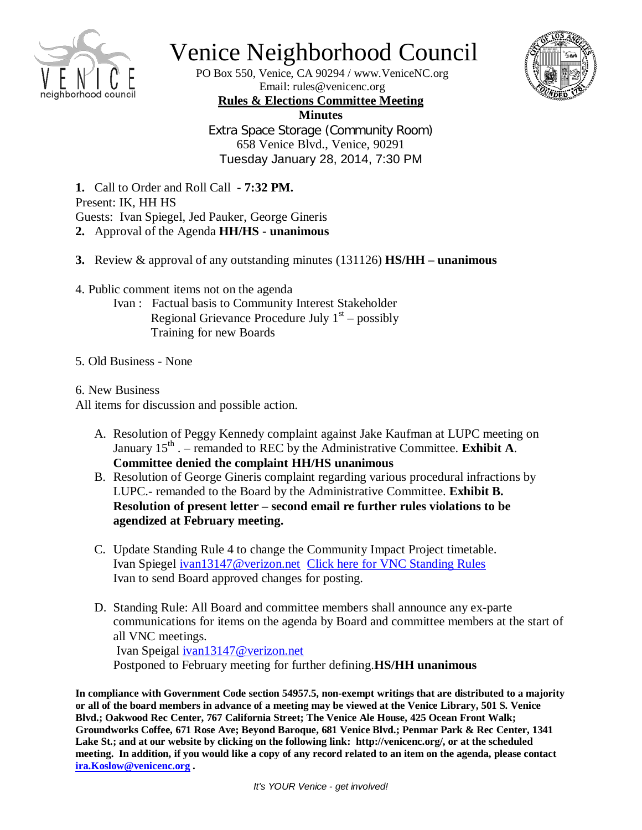

## Venice Neighborhood Council

PO Box 550, Venice, CA 90294 / www.VeniceNC.org Email: rules@venicenc.org



**Rules & Elections Committee Meeting Minutes** Extra Space Storage (Community Room) 658 Venice Blvd., Venice, 90291 Tuesday January 28, 2014, 7:30 PM

**1.** Call to Order and Roll Call **- 7:32 PM.** Present: IK, HH HS Guests: Ivan Spiegel, Jed Pauker, George Gineris **2.** Approval of the Agenda **HH/HS - unanimous**

- **3.** Review & approval of any outstanding minutes (131126) **HS/HH – unanimous**
- 4. Public comment items not on the agenda
	- Ivan : Factual basis to Community Interest Stakeholder Regional Grievance Procedure July  $1<sup>st</sup>$  – possibly Training for new Boards
- 5. Old Business None
- 6. New Business

All items for discussion and possible action.

- A. Resolution of Peggy Kennedy complaint against Jake Kaufman at LUPC meeting on January 15<sup>th</sup> . – remanded to REC by the Administrative Committee. **Exhibit A**. **Committee denied the complaint HH/HS unanimous**
- B. Resolution of George Gineris complaint regarding various procedural infractions by LUPC.- remanded to the Board by the Administrative Committee. **Exhibit B. Resolution of present letter – second email re further rules violations to be agendized at February meeting.**
- C. Update Standing Rule 4 to change the Community Impact Project timetable. Ivan Spiegel [ivan13147@verizon.net](mailto:ivan13147@verizon.net) [Click here for VNC Standing Rules](http://www.venicenc.org/wp-content/uploads/2013/01/VNC-StandingRules-revised-131119.pdf) Ivan to send Board approved changes for posting.
- D. Standing Rule: All Board and committee members shall announce any ex-parte communications for items on the agenda by Board and committee members at the start of all VNC meetings. Ivan Speigal [ivan13147@verizon.net](mailto:ivan13147@verizon.net) Postponed to February meeting for further defining.**HS/HH unanimous**

**In compliance with Government Code section 54957.5, non-exempt writings that are distributed to a majority or all of the board members in advance of a meeting may be viewed at the Venice Library, 501 S. Venice Blvd.; Oakwood Rec Center, 767 California Street; The Venice Ale House, 425 Ocean Front Walk; Groundworks Coffee, 671 Rose Ave; Beyond Baroque, 681 Venice Blvd.; Penmar Park & Rec Center, 1341 Lake St.; and at our website by clicking on the following link: http://venicenc.org/, or at the scheduled meeting. In addition, if you would like a copy of any record related to an item on the agenda, please contact [ira.Koslow@venicenc.org](mailto:ira.Koslow@venicenc.org) .**